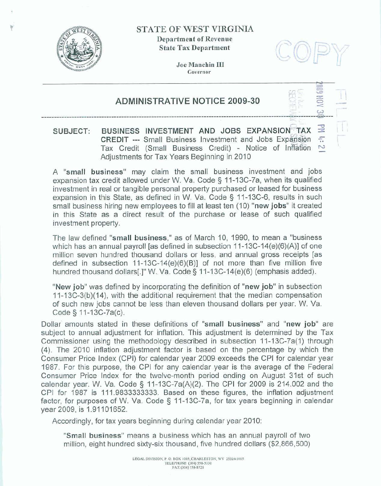

### **STATE OF WEST VIRGINIA**

**Department of Revenue State Tax Department.** 



 $\epsilon$ .

**Joe Manchin LU Governor** 

## **ADMINISTRATIVE NOTICE 2009-30**

# *G-***SUBJECT:** BUSINESS INVESTMENT AND **JOBS EXPANSION TAX**  $\cong$  **CREDIT** -- Small Business Investment and Jobs Expansion  $\pi$ Tax Credit (Small Business Credit) - Notice of Inflation <sup>N</sup> Adjustments for Tax Years Beginning in 2010

**A "small business"** may claim the smaIl business investment and **jobs**  expansion tax credit allowed **under** W. Va, Code § 11-73C-7a, when its qualified investment in real or tangible personal property purchased or leased for business expansion in this State, **as** defined **in W.** Va. Code *5* 11-13C-6, results in **such small business** hiring new employees to fill at least ten **(10) "new jobs"** it created in this State as a direct result of the **purchase** or **lease** of such qualified investment property.

The law defined **"small business," as** of March 10, 1990, to mean a "business which has an annual payroll [as defined in subsection 11-13C-14(e)(6)(A)] of one million seven hundred thousand dollars or less, **and** annual gross **receipts [as**  million seven nundred thousand dollars of less, and annual gross receipts [as defined in subsection 11-13C-14(e)(6)(B)] of not more than five million five hundred thousand dollars[.]" W. Va. Code § 11-13C-14(e)(6) (emphasi

**"New job" was** defined by incorporating the definition **of ''new job** in subsection 1 **1-1 3C-3(b)(l4),** with the additional requirement that the median compensation of **such new jobs** cannot be **less** than eleven **thousand** dollars **per** year. W. **Va.**  Code *<sup>5</sup>*I **7** -1 **3C-7a(c).** 

Dollar amounts **stated** in **these definitions** of **"small business"** and "new **job** are subject to annual adjustment for inflation. **This adjustment** is determined by the Tax Commissioner using the methodology described in subsection 11-13C-7a(1) through **(4).** The 2010 inflation adjustment factor **is** based **on** the percentage by which **the**  Consumer **Price** Index (CPI) for calendar year 2009 **exceeds the** CPI for calendar year 1987. For this purpose, the CPI for any calendar year is the average of the **Federal**  Consumer Price **Index** for the twelvemonth **period** ending on **August** 31st of **such**  calendar year. W. **Va.** Code **3** f 1 -13C-7a(A)(2). The CPI for 2009 is 214.002 and the CPI **for** 1987 **is** 11 **1.9833333333.** Based on **these** figures, the inflation adjustment factor, for purposes of W. Va. Code § 11-13C-7a, for tax years beginning in calendar vear 2009, is 1.91101652.

Accordingly, for tax years beginning during calendar year 2010:

**"Small business"** means **a** business which has an annual payroll of two million, eight hundred sixty-six thousand, five hundred dollars (\$2,866,500)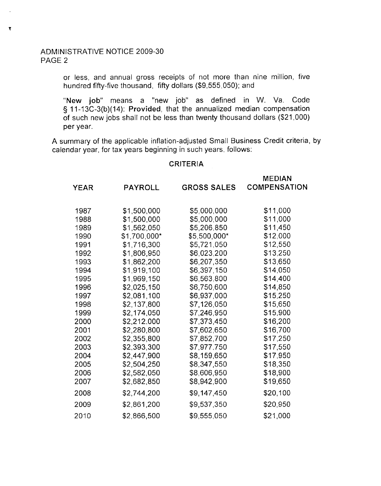### ADMINISTRATIVE NOTICE 2009-30 PAGE 2

 $\mathbf{r}$ 

or less, and annual gross receipts of not more than nine million, five hundred fifty-five thousand, fifty dollars (\$9,555,050); and

"New job" means a "new job" as defined in W. Va. Code **Cj** 1 1-1 3C-3(b)(14): **Provided,** that the annualized median compensation of such new jobs shall not be less than twenty thousand dollars (\$21,000) per year.

A summary of the applicable inflation-adjusted Small Business Credit criteria, by calendar year, for tax years beginning in such years, follows:

#### CRITERIA

MEDIAN

|             |                |                    | ᄖᄔᄖ                 |
|-------------|----------------|--------------------|---------------------|
| <b>YEAR</b> | <b>PAYROLL</b> | <b>GROSS SALES</b> | <b>COMPENSATION</b> |
|             |                |                    |                     |
| 1987        | \$1,500,000    | \$5,000,000        | \$11,000            |
| 1988        | \$1,500,000    | \$5,000,000        | \$11,000            |
| 1989        | \$1,562,050    | \$5,206,850        | \$11,450            |
| 1990        | \$1,700,000*   | \$5,500,000*       | \$12,000            |
| 1991        | \$1,716,300    | \$5,721,050        | \$12,550            |
| 1992        | \$1,806,950    | \$6,023,200        | \$13,250            |
| 1993        | \$1,862,200    | \$6,207,350        | \$13,650            |
| 1994        | \$1,919,100    | \$6,397,150        | \$14,050            |
| 1995        | \$1,969,150    | \$6,563,800        | \$14,400            |
| 1996        | \$2,025,150    | \$6,750,600        | \$14,850            |
| 1997        | \$2,081,100    | \$6,937,000        | \$15,250            |
| 1998        | \$2,137,800    | \$7,126,050        | \$15,650            |
| 1999        | \$2,174,050    | \$7,246,950        | \$15,900            |
| 2000        | \$2,212.000    | \$7,373,450        | \$16,200            |
| 2001        | \$2,280,800    | \$7,602,650        | \$16,700            |
| 2002        | \$2,355,800    | \$7,852,700        | \$17,250            |
| 2003        | \$2,393,300    | \$7,977,750        | \$17,550            |
| 2004        | \$2,447,900    | \$8,159,650        | \$17,950            |
| 2005        | \$2,504,250    | \$8,347,550        | \$18,350            |
| 2006        | \$2,582,050    | \$8,606,950        | \$18,900            |
| 2007        | \$2,682,850    | \$8,942,900        | \$19,650            |
| 2008        | \$2,744,200    | \$9,147,450        | \$20,100            |
| 2009        | \$2,861,200    | \$9,537,350        | \$20,950            |
| 2010        | \$2,866,500    | \$9,555,050        | \$21,000            |